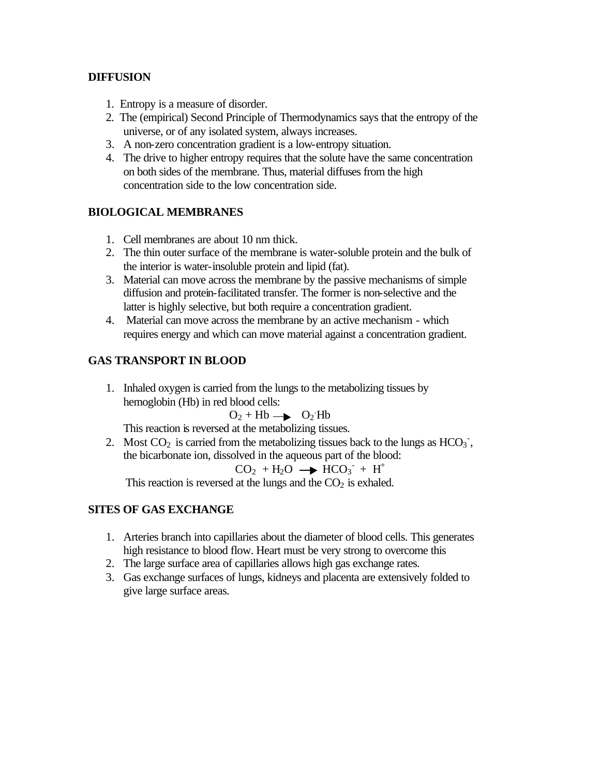#### **DIFFUSION**

- 1. Entropy is a measure of disorder.
- 2. The (empirical) Second Principle of Thermodynamics says that the entropy of the universe, or of any isolated system, always increases.
- 3. A non-zero concentration gradient is a low-entropy situation.
- 4. The drive to higher entropy requires that the solute have the same concentration on both sides of the membrane. Thus, material diffuses from the high concentration side to the low concentration side.

## **BIOLOGICAL MEMBRANES**

- 1. Cell membranes are about 10 nm thick.
- 2. The thin outer surface of the membrane is water-soluble protein and the bulk of the interior is water-insoluble protein and lipid (fat).
- 3. Material can move across the membrane by the passive mechanisms of simple diffusion and protein-facilitated transfer. The former is non-selective and the latter is highly selective, but both require a concentration gradient.
- 4. Material can move across the membrane by an active mechanism which requires energy and which can move material against a concentration gradient.

## **GAS TRANSPORT IN BLOOD**

1. Inhaled oxygen is carried from the lungs to the metabolizing tissues by hemoglobin (Hb) in red blood cells:

$$
O_2 + Hb \longrightarrow O_2 Hb
$$

This reaction is reversed at the metabolizing tissues.

2. Most  $CO_2$  is carried from the metabolizing tissues back to the lungs as  $HCO_3$ <sup>-</sup>, the bicarbonate ion, dissolved in the aqueous part of the blood:

$$
CO_2 + H_2O \longrightarrow HCO_3 + H^+
$$

This reaction is reversed at the lungs and the  $CO<sub>2</sub>$  is exhaled.

#### **SITES OF GAS EXCHANGE**

- 1. Arteries branch into capillaries about the diameter of blood cells. This generates high resistance to blood flow. Heart must be very strong to overcome this
- 2. The large surface area of capillaries allows high gas exchange rates.
- 3. Gas exchange surfaces of lungs, kidneys and placenta are extensively folded to give large surface areas.